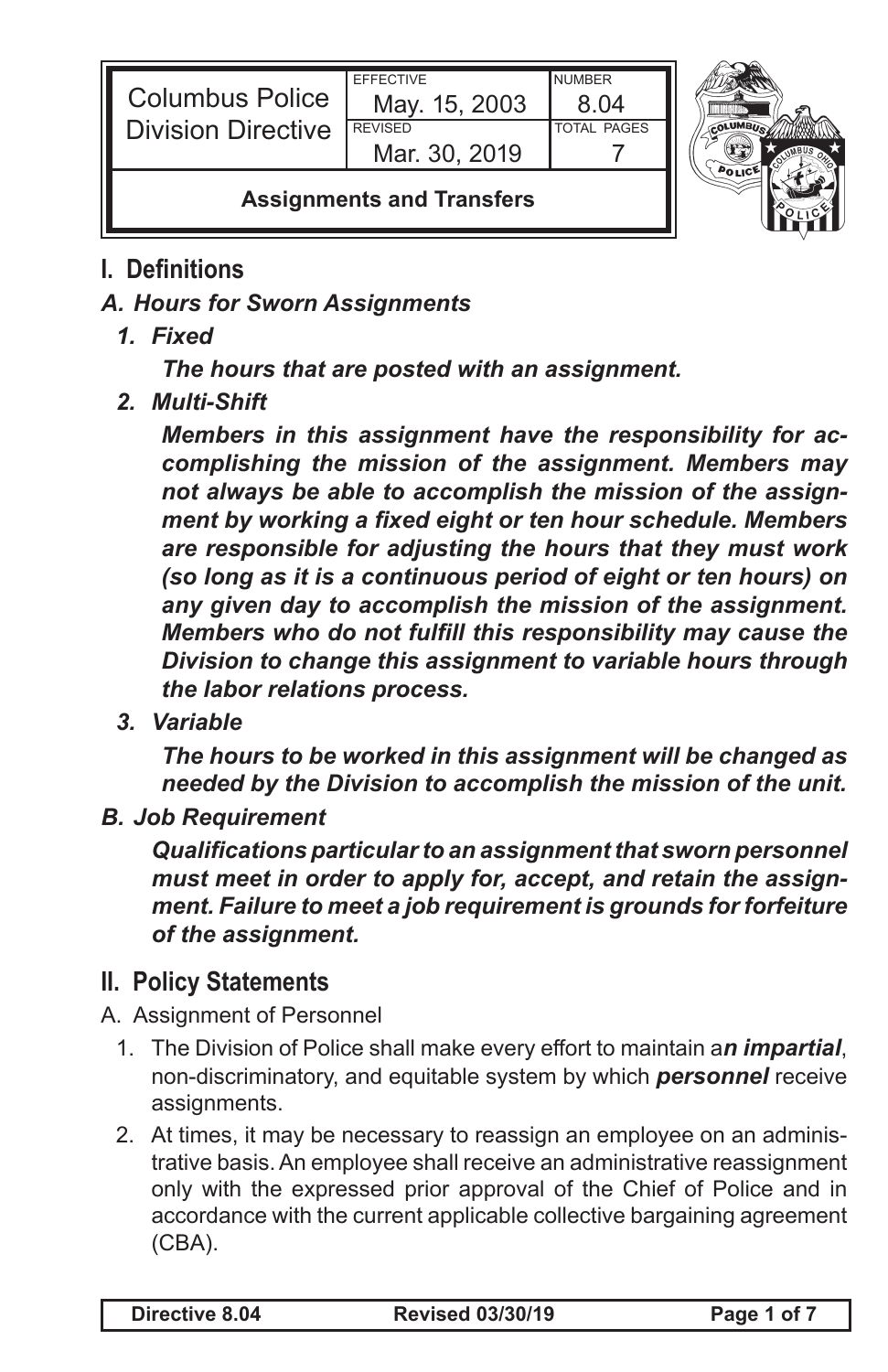| <b>Columbus Police</b><br><b>Division Directive</b> | <b>FFFFCTIVE</b><br>May. 15, 2003<br><b>REVISED</b><br>Mar. 30, 2019 | <b>NUMBER</b><br>8 N4<br><b>TOTAL PAGES</b> |  |
|-----------------------------------------------------|----------------------------------------------------------------------|---------------------------------------------|--|
| <b>Assignments and Transfers</b>                    |                                                                      |                                             |  |

## **I. Definitions**

## *A. Hours for Sworn Assignments*

*1. Fixed*

*The hours that are posted with an assignment.*

*2. Multi-Shift*

*Members in this assignment have the responsibility for accomplishing the mission of the assignment. Members may not always be able to accomplish the mission of the assignment by working a fixed eight or ten hour schedule. Members are responsible for adjusting the hours that they must work (so long as it is a continuous period of eight or ten hours) on any given day to accomplish the mission of the assignment. Members who do not fulfill this responsibility may cause the Division to change this assignment to variable hours through the labor relations process.*

*3. Variable*

*The hours to be worked in this assignment will be changed as needed by the Division to accomplish the mission of the unit.*

*B. Job Requirement*

*Qualifications particular to an assignment that sworn personnel must meet in order to apply for, accept, and retain the assignment. Failure to meet a job requirement is grounds for forfeiture of the assignment.*

## **II. Policy Statements**

- A. Assignment of Personnel
	- 1. The Division of Police shall make every effort to maintain a*n impartial*, non-discriminatory, and equitable system by which *personnel* receive assignments.
	- 2. At times, it may be necessary to reassign an employee on an administrative basis. An employee shall receive an administrative reassignment only with the expressed prior approval of the Chief of Police and in accordance with the current applicable collective bargaining agreement (CBA).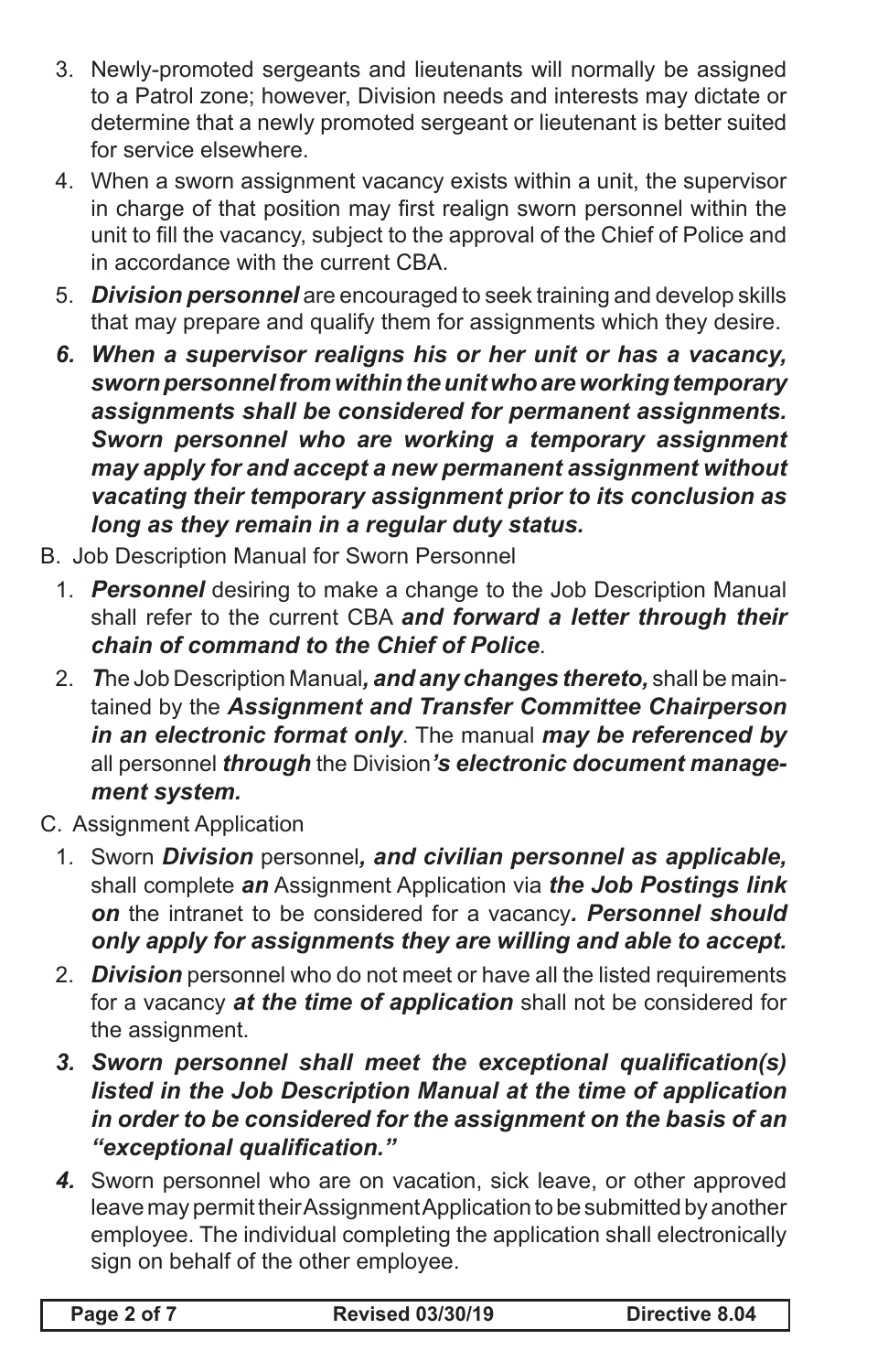- 3. Newly-promoted sergeants and lieutenants will normally be assigned to a Patrol zone; however, Division needs and interests may dictate or determine that a newly promoted sergeant or lieutenant is better suited for service elsewhere.
- 4. When a sworn assignment vacancy exists within a unit, the supervisor in charge of that position may first realign sworn personnel within the unit to fill the vacancy, subject to the approval of the Chief of Police and in accordance with the current CBA.
- 5. *Division personnel* are encouraged to seek training and develop skills that may prepare and qualify them for assignments which they desire.
- *6. When a supervisor realigns his or her unit or has a vacancy, sworn personnel from within the unit who are working temporary assignments shall be considered for permanent assignments. Sworn personnel who are working a temporary assignment may apply for and accept a new permanent assignment without vacating their temporary assignment prior to its conclusion as long as they remain in a regular duty status.*
- B. Job Description Manual for Sworn Personnel
	- 1. *Personnel* desiring to make a change to the Job Description Manual shall refer to the current CBA *and forward a letter through their chain of command to the Chief of Police*.
	- 2. *T*he Job Description Manual*, and any changes thereto,* shall be maintained by the *Assignment and Transfer Committee Chairperson in an electronic format only*. The manual *may be referenced by*  all personnel *through* the Division*'s electronic document management system.*
- C. Assignment Application
	- 1. Sworn *Division* personnel*, and civilian personnel as applicable,* shall complete *an* Assignment Application via *the Job Postings link on* the intranet to be considered for a vacancy*. Personnel should only apply for assignments they are willing and able to accept.*
	- 2. *Division* personnel who do not meet or have all the listed requirements for a vacancy *at the time of application* shall not be considered for the assignment.
	- *3. Sworn personnel shall meet the exceptional qualification(s) listed in the Job Description Manual at the time of application in order to be considered for the assignment on the basis of an "exceptional qualification."*
	- *4.* Sworn personnel who are on vacation, sick leave, or other approved leave may permit their Assignment Application to be submitted by another employee. The individual completing the application shall electronically sign on behalf of the other employee.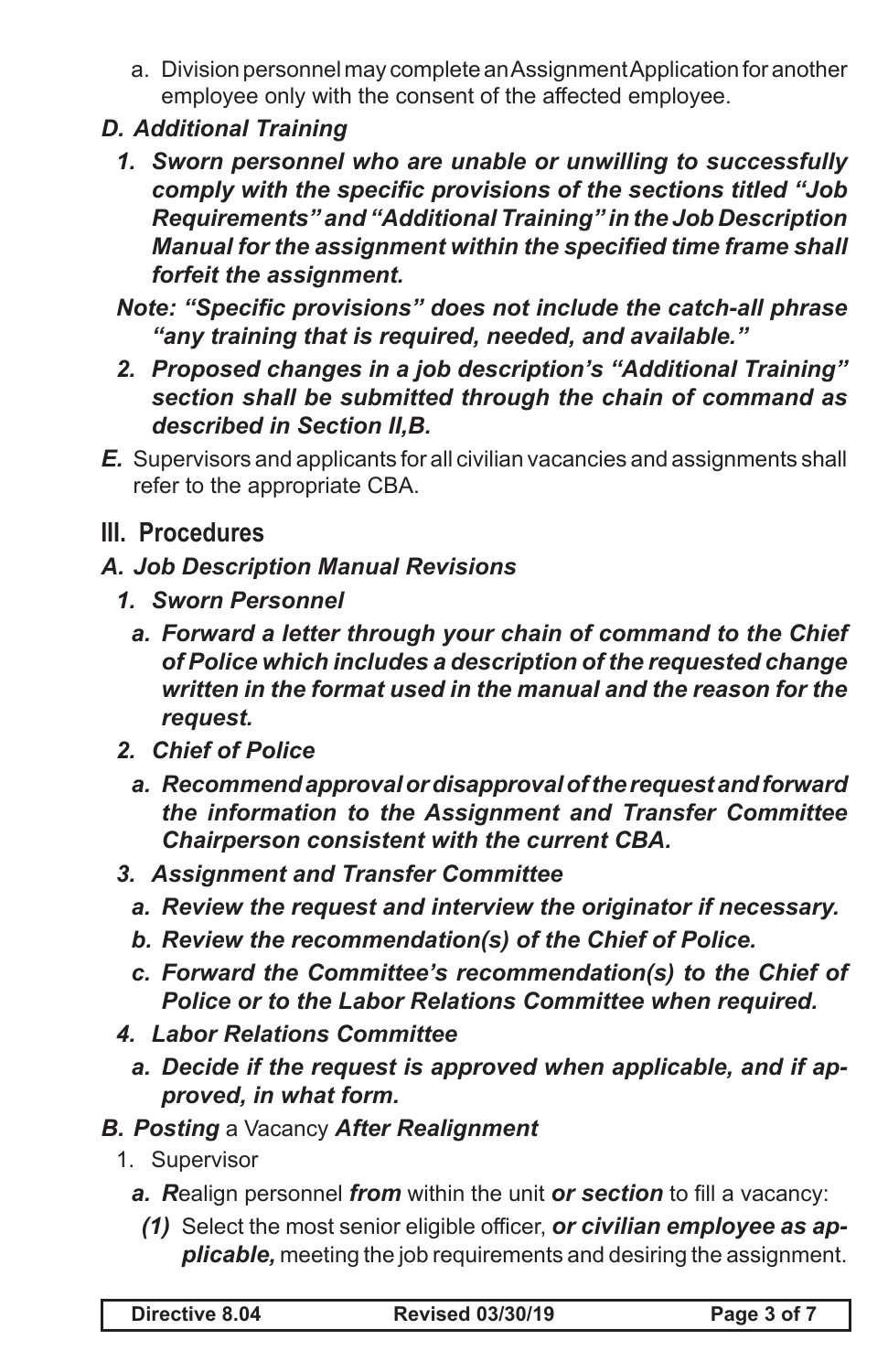- a. Division personnel may complete an Assignment Application for another employee only with the consent of the affected employee.
- *D. Additional Training*
	- *1. Sworn personnel who are unable or unwilling to successfully comply with the specific provisions of the sections titled "Job Requirements" and "Additional Training" in the Job Description Manual for the assignment within the specified time frame shall forfeit the assignment.*
	- *Note: "Specific provisions" does not include the catch-all phrase "any training that is required, needed, and available."*
	- *2. Proposed changes in a job description's "Additional Training" section shall be submitted through the chain of command as described in Section II,B.*
- *E.* Supervisors and applicants for all civilian vacancies and assignments shall refer to the appropriate CBA.
- **III. Procedures**
- *A. Job Description Manual Revisions*
	- *1. Sworn Personnel*
		- *a. Forward a letter through your chain of command to the Chief of Police which includes a description of the requested change written in the format used in the manual and the reason for the request.*
	- *2. Chief of Police*
		- *a. Recommend approval or disapproval of the request and forward the information to the Assignment and Transfer Committee Chairperson consistent with the current CBA.*
	- *3. Assignment and Transfer Committee*
		- *a. Review the request and interview the originator if necessary.*
		- *b. Review the recommendation(s) of the Chief of Police.*
		- *c. Forward the Committee's recommendation(s) to the Chief of Police or to the Labor Relations Committee when required.*
	- *4. Labor Relations Committee*
		- *a. Decide if the request is approved when applicable, and if approved, in what form.*
- *B. Posting* a Vacancy *After Realignment*
	- 1. Supervisor
		- *a. R*ealign personnel *from* within the unit *or section* to fill a vacancy:
		- *(1)* Select the most senior eligible officer, *or civilian employee as applicable,* meeting the job requirements and desiring the assignment.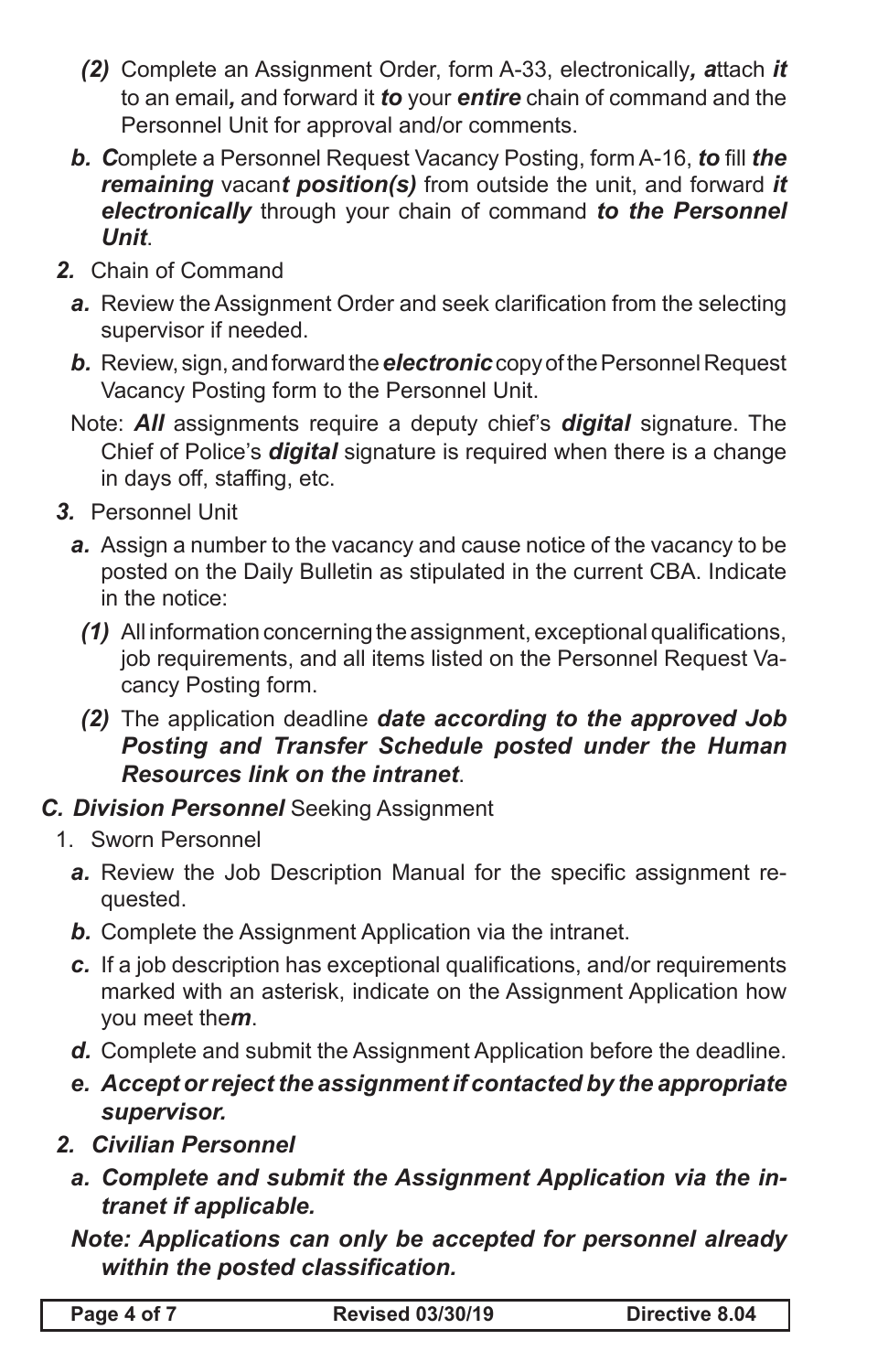- *(2)* Complete an Assignment Order, form A-33, electronically*, a*ttach *it* to an email*,* and forward it *to* your *entire* chain of command and the Personnel Unit for approval and/or comments.
- *b. C*omplete a Personnel Request Vacancy Posting, form A-16, *to* fill *the remaining* vacan*t position(s)* from outside the unit, and forward *it electronically* through your chain of command *to the Personnel Unit*.
- *2.* Chain of Command
	- a. Review the Assignment Order and seek clarification from the selecting supervisor if needed.
	- *b.* Review, sign, and forward the *electronic* copy of the Personnel Request Vacancy Posting form to the Personnel Unit.
	- Note: *All* assignments require a deputy chief's *digital* signature. The Chief of Police's *digital* signature is required when there is a change in days off, staffing, etc.
- *3.* Personnel Unit
	- *a.* Assign a number to the vacancy and cause notice of the vacancy to be posted on the Daily Bulletin as stipulated in the current CBA. Indicate in the notice:
		- *(1)* All information concerning the assignment, exceptional qualifications, job requirements, and all items listed on the Personnel Request Vacancy Posting form.
		- *(2)* The application deadline *date according to the approved Job Posting and Transfer Schedule posted under the Human Resources link on the intranet*.
- *C. Division Personnel* Seeking Assignment
	- 1. Sworn Personnel
		- a. Review the Job Description Manual for the specific assignment requested.
		- *b.* Complete the Assignment Application via the intranet.
		- *c.* If a job description has exceptional qualifications, and/or requirements marked with an asterisk, indicate on the Assignment Application how you meet the*m*.
		- *d.* Complete and submit the Assignment Application before the deadline.
		- *e. Accept or reject the assignment if contacted by the appropriate supervisor.*
	- *2. Civilian Personnel*
		- *a. Complete and submit the Assignment Application via the intranet if applicable.*

*Note: Applications can only be accepted for personnel already within the posted classification.*

| Page 4 of 7 | <b>Revised 03/30/19</b> | Directive 8.04 |
|-------------|-------------------------|----------------|
|-------------|-------------------------|----------------|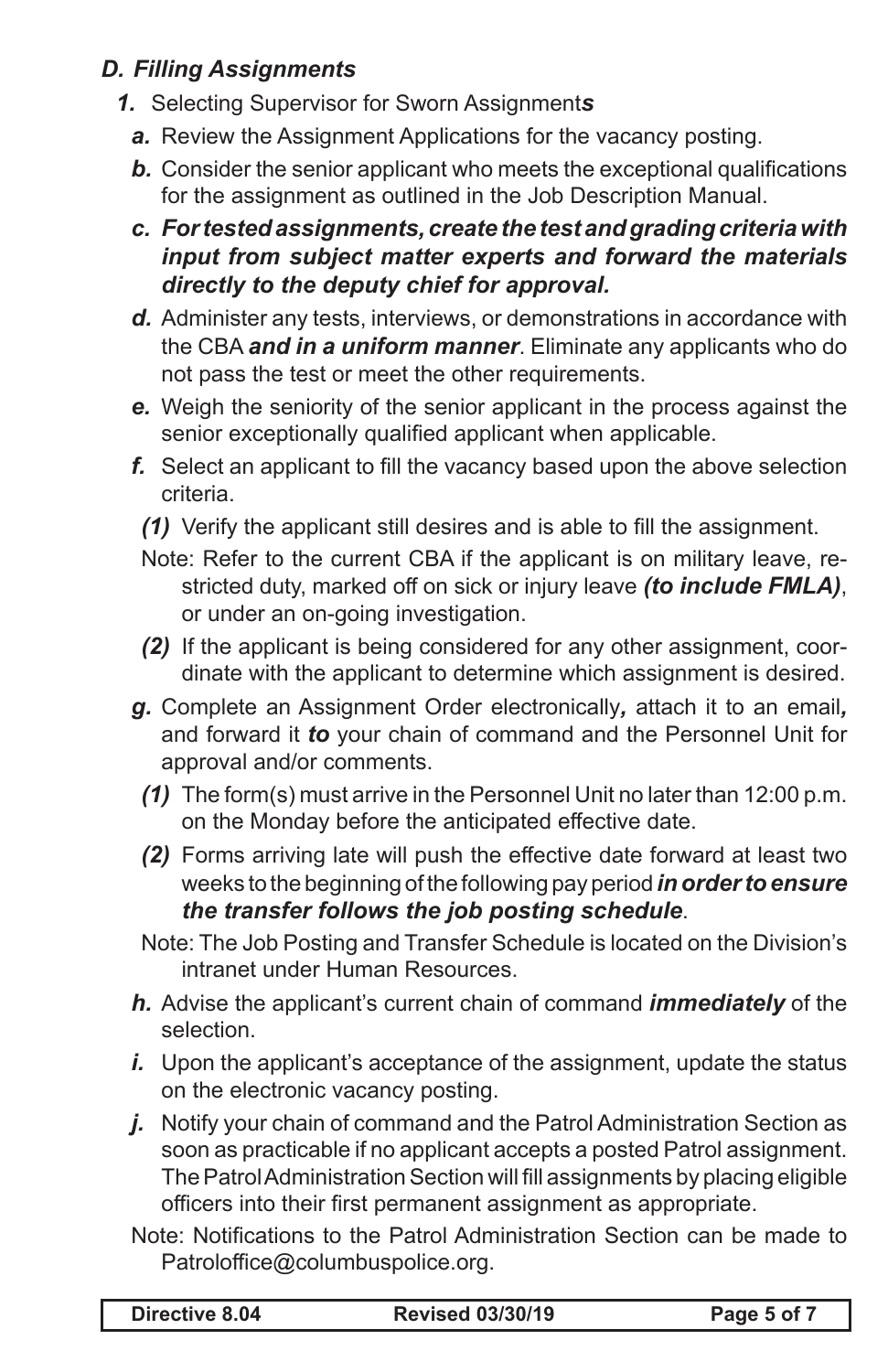## *D. Filling Assignments*

- *1.* Selecting Supervisor for Sworn Assignment*s*
	- *a.* Review the Assignment Applications for the vacancy posting.
	- **b.** Consider the senior applicant who meets the exceptional qualifications for the assignment as outlined in the Job Description Manual.
	- *c. For tested assignments, create the test and grading criteria with input from subject matter experts and forward the materials directly to the deputy chief for approval.*
	- *d.* Administer any tests, interviews, or demonstrations in accordance with the CBA *and in a uniform manner*. Eliminate any applicants who do not pass the test or meet the other requirements.
	- *e.* Weigh the seniority of the senior applicant in the process against the senior exceptionally qualified applicant when applicable.
	- **f.** Select an applicant to fill the vacancy based upon the above selection criteria.
		- *(1)* Verify the applicant still desires and is able to fill the assignment.
		- Note: Refer to the current CBA if the applicant is on military leave, restricted duty, marked off on sick or injury leave *(to include FMLA)*, or under an on-going investigation.
		- *(2)* If the applicant is being considered for any other assignment, coordinate with the applicant to determine which assignment is desired.
	- *g.* Complete an Assignment Order electronically*,* attach it to an email*,*  and forward it *to* your chain of command and the Personnel Unit for approval and/or comments.
		- *(1)* The form(s) must arrive in the Personnel Unit no later than 12:00 p.m. on the Monday before the anticipated effective date.
		- *(2)* Forms arriving late will push the effective date forward at least two weeks to the beginning of the following pay period *in order to ensure the transfer follows the job posting schedule*.
	- Note: The Job Posting and Transfer Schedule is located on the Division's intranet under Human Resources.
	- *h.* Advise the applicant's current chain of command *immediately* of the selection.
	- *i.* Upon the applicant's acceptance of the assignment, update the status on the electronic vacancy posting.
	- *j.* Notify your chain of command and the Patrol Administration Section as soon as practicable if no applicant accepts a posted Patrol assignment. The Patrol Administration Section will fill assignments by placing eligible officers into their first permanent assignment as appropriate.
	- Note: Notifications to the Patrol Administration Section can be made to Patroloffice@columbuspolice.org.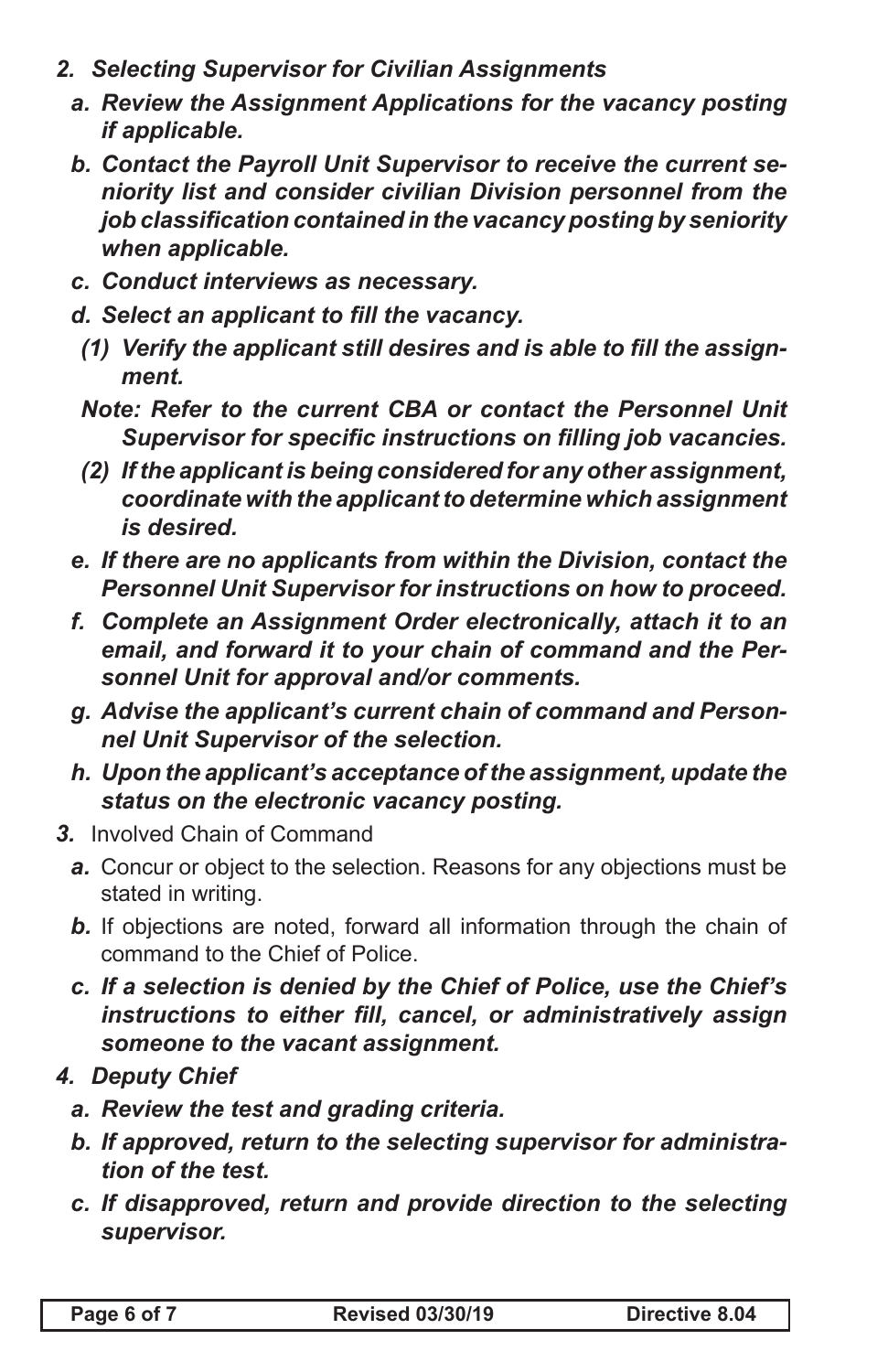- *2. Selecting Supervisor for Civilian Assignments*
	- *a. Review the Assignment Applications for the vacancy posting if applicable.*
	- *b. Contact the Payroll Unit Supervisor to receive the current seniority list and consider civilian Division personnel from the job classification contained in the vacancy posting by seniority when applicable.*
	- *c. Conduct interviews as necessary.*
	- *d. Select an applicant to fill the vacancy.*
		- *(1) Verify the applicant still desires and is able to fill the assignment.*
		- *Note: Refer to the current CBA or contact the Personnel Unit Supervisor for specific instructions on filling job vacancies.*
		- *(2) If the applicant is being considered for any other assignment, coordinate with the applicant to determine which assignment is desired.*
	- *e. If there are no applicants from within the Division, contact the Personnel Unit Supervisor for instructions on how to proceed.*
	- *f. Complete an Assignment Order electronically, attach it to an email, and forward it to your chain of command and the Personnel Unit for approval and/or comments.*
	- *g. Advise the applicant's current chain of command and Personnel Unit Supervisor of the selection.*
	- *h. Upon the applicant's acceptance of the assignment, update the status on the electronic vacancy posting.*
- *3.* Involved Chain of Command
	- **a.** Concur or object to the selection. Reasons for any objections must be stated in writing.
	- **b.** If objections are noted, forward all information through the chain of command to the Chief of Police.
	- *c. If a selection is denied by the Chief of Police, use the Chief's instructions to either fill, cancel, or administratively assign someone to the vacant assignment.*
- *4. Deputy Chief*
	- *a. Review the test and grading criteria.*
	- *b. If approved, return to the selecting supervisor for administration of the test.*
	- *c. If disapproved, return and provide direction to the selecting supervisor.*